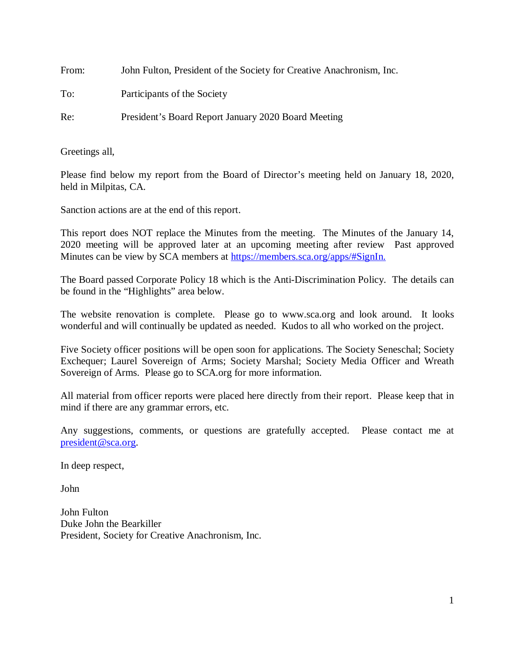| From: | John Fulton, President of the Society for Creative Anachronism, Inc. |
|-------|----------------------------------------------------------------------|
| To:   | Participants of the Society                                          |
| Re:   | President's Board Report January 2020 Board Meeting                  |

Greetings all,

Please find below my report from the Board of Director's meeting held on January 18, 2020, held in Milpitas, CA.

Sanction actions are at the end of this report.

This report does NOT replace the Minutes from the meeting. The Minutes of the January 14, 2020 meeting will be approved later at an upcoming meeting after review Past approved Minutes can be view by SCA members at [https://members.sca.org/apps/#SignIn.](https://members.sca.org/apps/#SignIn)

The Board passed Corporate Policy 18 which is the Anti-Discrimination Policy. The details can be found in the "Highlights" area below.

The website renovation is complete. Please go to www.sca.org and look around. It looks wonderful and will continually be updated as needed. Kudos to all who worked on the project.

Five Society officer positions will be open soon for applications. The Society Seneschal; Society Exchequer; Laurel Sovereign of Arms; Society Marshal; Society Media Officer and Wreath Sovereign of Arms. Please go to SCA.org for more information.

All material from officer reports were placed here directly from their report. Please keep that in mind if there are any grammar errors, etc.

Any suggestions, comments, or questions are gratefully accepted. Please contact me at [president@sca.org.](mailto:president@sca.org)

In deep respect,

John

John Fulton Duke John the Bearkiller President, Society for Creative Anachronism, Inc.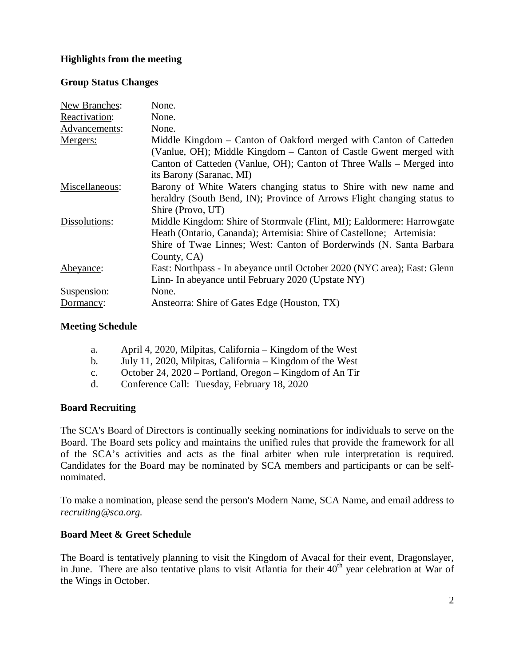# **Highlights from the meeting**

### **Group Status Changes**

| New Branches:  | None.                                                                    |
|----------------|--------------------------------------------------------------------------|
| Reactivation:  | None.                                                                    |
| Advancements:  | None.                                                                    |
| Mergers:       | Middle Kingdom – Canton of Oakford merged with Canton of Catteden        |
|                | (Vanlue, OH); Middle Kingdom – Canton of Castle Gwent merged with        |
|                | Canton of Catteden (Vanlue, OH); Canton of Three Walls - Merged into     |
|                | its Barony (Saranac, MI)                                                 |
| Miscellaneous: | Barony of White Waters changing status to Shire with new name and        |
|                | heraldry (South Bend, IN); Province of Arrows Flight changing status to  |
|                | Shire (Provo, UT)                                                        |
| Dissolutions:  | Middle Kingdom: Shire of Stormvale (Flint, MI); Ealdormere: Harrowgate   |
|                | Heath (Ontario, Cananda); Artemisia: Shire of Castellone; Artemisia:     |
|                | Shire of Twae Linnes; West: Canton of Borderwinds (N. Santa Barbara      |
|                | County, CA)                                                              |
| Abeyance:      | East: Northpass - In abeyance until October 2020 (NYC area); East: Glenn |
|                | Linn- In abeyance until February 2020 (Upstate NY)                       |
| Suspension:    | None.                                                                    |
| Dormancy:      | Ansteorra: Shire of Gates Edge (Houston, TX)                             |

### **Meeting Schedule**

- a. April 4, 2020, Milpitas, California Kingdom of the West
- b. July 11, 2020, Milpitas, California Kingdom of the West
- c. October 24, 2020 Portland, Oregon Kingdom of An Tir
- d. Conference Call: Tuesday, February 18, 2020

# **Board Recruiting**

The SCA's Board of Directors is continually seeking nominations for individuals to serve on the Board. The Board sets policy and maintains the unified rules that provide the framework for all of the SCA's activities and acts as the final arbiter when rule interpretation is required. Candidates for the Board may be nominated by SCA members and participants or can be selfnominated.

To make a nomination, please send the person's Modern Name, SCA Name, and email address to *recruiting@sca.org.*

# **Board Meet & Greet Schedule**

The Board is tentatively planning to visit the Kingdom of Avacal for their event, Dragonslayer, in June. There are also tentative plans to visit Atlantia for their 40<sup>th</sup> year celebration at War of the Wings in October.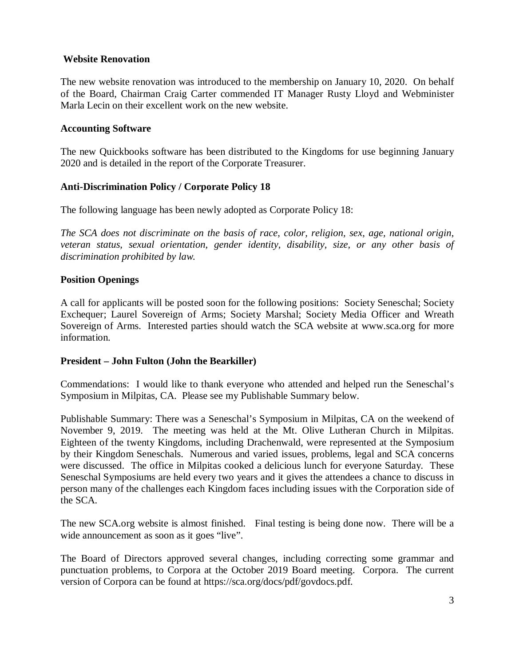### **Website Renovation**

The new website renovation was introduced to the membership on January 10, 2020. On behalf of the Board, Chairman Craig Carter commended IT Manager Rusty Lloyd and Webminister Marla Lecin on their excellent work on the new website.

#### **Accounting Software**

The new Quickbooks software has been distributed to the Kingdoms for use beginning January 2020 and is detailed in the report of the Corporate Treasurer.

### **Anti-Discrimination Policy / Corporate Policy 18**

The following language has been newly adopted as Corporate Policy 18:

*The SCA does not discriminate on the basis of race, color, religion, sex, age, national origin, veteran status, sexual orientation, gender identity, disability, size, or any other basis of discrimination prohibited by law.* 

### **Position Openings**

A call for applicants will be posted soon for the following positions: Society Seneschal; Society Exchequer; Laurel Sovereign of Arms; Society Marshal; Society Media Officer and Wreath Sovereign of Arms. Interested parties should watch the SCA website at www.sca.org for more information.

#### **President – John Fulton (John the Bearkiller)**

Commendations: I would like to thank everyone who attended and helped run the Seneschal's Symposium in Milpitas, CA. Please see my Publishable Summary below.

Publishable Summary: There was a Seneschal's Symposium in Milpitas, CA on the weekend of November 9, 2019. The meeting was held at the Mt. Olive Lutheran Church in Milpitas. Eighteen of the twenty Kingdoms, including Drachenwald, were represented at the Symposium by their Kingdom Seneschals. Numerous and varied issues, problems, legal and SCA concerns were discussed. The office in Milpitas cooked a delicious lunch for everyone Saturday. These Seneschal Symposiums are held every two years and it gives the attendees a chance to discuss in person many of the challenges each Kingdom faces including issues with the Corporation side of the SCA.

The new SCA.org website is almost finished. Final testing is being done now. There will be a wide announcement as soon as it goes "live".

The Board of Directors approved several changes, including correcting some grammar and punctuation problems, to Corpora at the October 2019 Board meeting. Corpora. The current version of Corpora can be found at https://sca.org/docs/pdf/govdocs.pdf.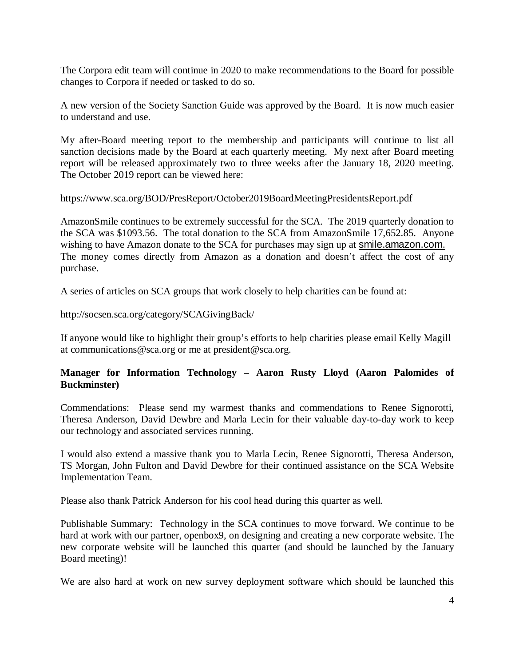The Corpora edit team will continue in 2020 to make recommendations to the Board for possible changes to Corpora if needed or tasked to do so.

A new version of the Society Sanction Guide was approved by the Board. It is now much easier to understand and use.

My after-Board meeting report to the membership and participants will continue to list all sanction decisions made by the Board at each quarterly meeting. My next after Board meeting report will be released approximately two to three weeks after the January 18, 2020 meeting. The October 2019 report can be viewed here:

https://www.sca.org/BOD/PresReport/October2019BoardMeetingPresidentsReport.pdf

AmazonSmile continues to be extremely successful for the SCA. The 2019 quarterly donation to the SCA was \$1093.56. The total donation to the SCA from AmazonSmile 17,652.85. Anyone wishing to have Amazon donate to the SCA for purchases may sign up at [smile.amazon.com.](https://smile.amazon.com/gp/f.html?C=2HYTMRTP298BH&K=1YIXAYFC622HH&M=urn:rtn:msg:201912181443112ceb4b4668e248c9bba4fa3fe5f0p0na&R=1AS2SSIOTR8WP&T=C&U=https%3A%2F%2Fsmile.amazon.com%2Fref%3Dpe_8705550_449509300_smi_em_disb_body2&H=UBS4R5H8LWPFOC7VZALPSOOT0TAA&ref_=pe_8705550_449509300_smi_em_disb_body2) The money comes directly from Amazon as a donation and doesn't affect the cost of any purchase.

A series of articles on SCA groups that work closely to help charities can be found at:

http://socsen.sca.org/category/SCAGivingBack/

If anyone would like to highlight their group's efforts to help charities please email Kelly Magill at communications@sca.org or me at president@sca.org.

### **Manager for Information Technology – [Aaron Rusty Lloyd](http://www.facebook.com/rustmon) (Aaron Palomides of Buckminster)**

Commendations: Please send my warmest thanks and commendations to Renee Signorotti, Theresa Anderson, David Dewbre and Marla Lecin for their valuable day-to-day work to keep our technology and associated services running.

I would also extend a massive thank you to Marla Lecin, Renee Signorotti, Theresa Anderson, TS Morgan, John Fulton and David Dewbre for their continued assistance on the SCA Website Implementation Team.

Please also thank Patrick Anderson for his cool head during this quarter as well.

Publishable Summary: Technology in the SCA continues to move forward. We continue to be hard at work with our partner, openbox9, on designing and creating a new corporate website. The new corporate website will be launched this quarter (and should be launched by the January Board meeting)!

We are also hard at work on new survey deployment software which should be launched this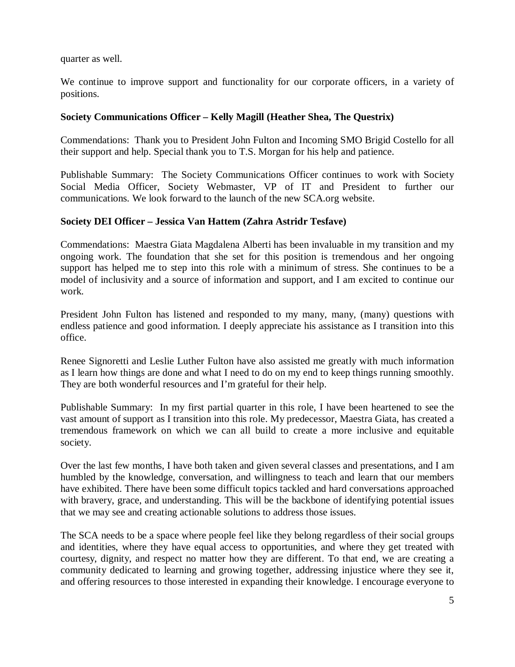quarter as well.

We continue to improve support and functionality for our corporate officers, in a variety of positions.

#### **Society Communications Officer – Kelly Magill (Heather Shea, The Questrix)**

Commendations: Thank you to President John Fulton and Incoming SMO Brigid Costello for all their support and help. Special thank you to T.S. Morgan for his help and patience.

Publishable Summary: The Society Communications Officer continues to work with Society Social Media Officer, Society Webmaster, VP of IT and President to further our communications. We look forward to the launch of the new SCA.org website.

### **Society DEI Officer – Jessica Van Hattem (Zahra Astridr Tesfave)**

Commendations: Maestra Giata Magdalena Alberti has been invaluable in my transition and my ongoing work. The foundation that she set for this position is tremendous and her ongoing support has helped me to step into this role with a minimum of stress. She continues to be a model of inclusivity and a source of information and support, and I am excited to continue our work.

President John Fulton has listened and responded to my many, many, (many) questions with endless patience and good information. I deeply appreciate his assistance as I transition into this office.

Renee Signoretti and Leslie Luther Fulton have also assisted me greatly with much information as I learn how things are done and what I need to do on my end to keep things running smoothly. They are both wonderful resources and I'm grateful for their help.

Publishable Summary: In my first partial quarter in this role, I have been heartened to see the vast amount of support as I transition into this role. My predecessor, Maestra Giata, has created a tremendous framework on which we can all build to create a more inclusive and equitable society.

Over the last few months, I have both taken and given several classes and presentations, and I am humbled by the knowledge, conversation, and willingness to teach and learn that our members have exhibited. There have been some difficult topics tackled and hard conversations approached with bravery, grace, and understanding. This will be the backbone of identifying potential issues that we may see and creating actionable solutions to address those issues.

The SCA needs to be a space where people feel like they belong regardless of their social groups and identities, where they have equal access to opportunities, and where they get treated with courtesy, dignity, and respect no matter how they are different. To that end, we are creating a community dedicated to learning and growing together, addressing injustice where they see it, and offering resources to those interested in expanding their knowledge. I encourage everyone to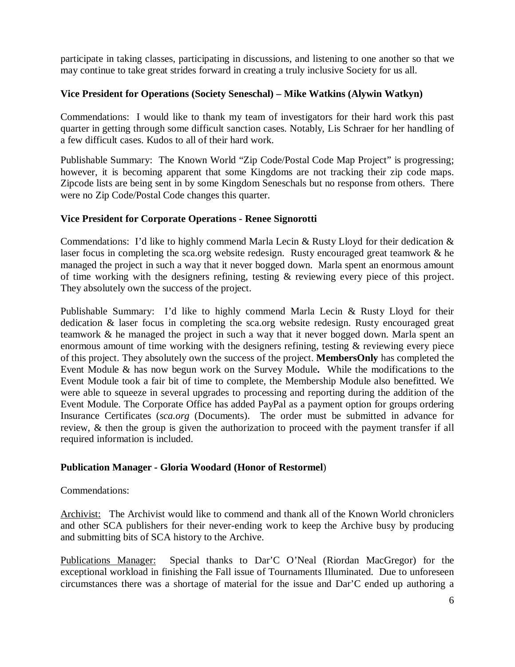participate in taking classes, participating in discussions, and listening to one another so that we may continue to take great strides forward in creating a truly inclusive Society for us all.

### **Vice President for Operations (Society Seneschal) – Mike Watkins (Alywin Watkyn)**

Commendations: I would like to thank my team of investigators for their hard work this past quarter in getting through some difficult sanction cases. Notably, Lis Schraer for her handling of a few difficult cases. Kudos to all of their hard work.

Publishable Summary: The Known World "Zip Code/Postal Code Map Project" is progressing; however, it is becoming apparent that some Kingdoms are not tracking their zip code maps. Zipcode lists are being sent in by some Kingdom Seneschals but no response from others. There were no Zip Code/Postal Code changes this quarter.

### **Vice President for Corporate Operations - Renee Signorotti**

Commendations: I'd like to highly commend Marla Lecin & Rusty Lloyd for their dedication & laser focus in completing the sca.org website redesign. Rusty encouraged great teamwork & he managed the project in such a way that it never bogged down. Marla spent an enormous amount of time working with the designers refining, testing & reviewing every piece of this project. They absolutely own the success of the project.

Publishable Summary: I'd like to highly commend Marla Lecin & Rusty Lloyd for their dedication & laser focus in completing the sca.org website redesign. Rusty encouraged great teamwork & he managed the project in such a way that it never bogged down. Marla spent an enormous amount of time working with the designers refining, testing & reviewing every piece of this project. They absolutely own the success of the project. **MembersOnly** has completed the Event Module & has now begun work on the Survey Module**.** While the modifications to the Event Module took a fair bit of time to complete, the Membership Module also benefitted. We were able to squeeze in several upgrades to processing and reporting during the addition of the Event Module. The Corporate Office has added PayPal as a payment option for groups ordering Insurance Certificates (*sca.org* (Documents). The order must be submitted in advance for review, & then the group is given the authorization to proceed with the payment transfer if all required information is included.

#### **Publication Manager - Gloria Woodard (Honor of Restormel**)

#### Commendations:

Archivist: The Archivist would like to commend and thank all of the Known World chroniclers and other SCA publishers for their never-ending work to keep the Archive busy by producing and submitting bits of SCA history to the Archive.

Publications Manager: Special thanks to Dar'C O'Neal (Riordan MacGregor) for the exceptional workload in finishing the Fall issue of Tournaments Illuminated. Due to unforeseen circumstances there was a shortage of material for the issue and Dar'C ended up authoring a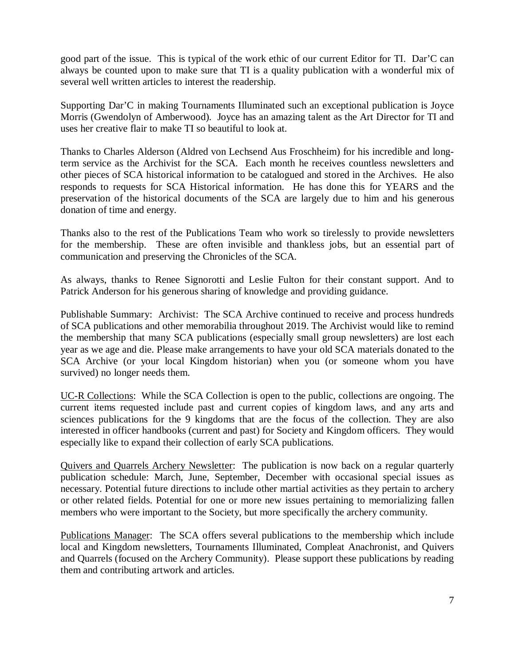good part of the issue. This is typical of the work ethic of our current Editor for TI. Dar'C can always be counted upon to make sure that TI is a quality publication with a wonderful mix of several well written articles to interest the readership.

Supporting Dar'C in making Tournaments Illuminated such an exceptional publication is Joyce Morris (Gwendolyn of Amberwood). Joyce has an amazing talent as the Art Director for TI and uses her creative flair to make TI so beautiful to look at.

Thanks to Charles Alderson (Aldred von Lechsend Aus Froschheim) for his incredible and longterm service as the Archivist for the SCA. Each month he receives countless newsletters and other pieces of SCA historical information to be catalogued and stored in the Archives. He also responds to requests for SCA Historical information. He has done this for YEARS and the preservation of the historical documents of the SCA are largely due to him and his generous donation of time and energy.

Thanks also to the rest of the Publications Team who work so tirelessly to provide newsletters for the membership. These are often invisible and thankless jobs, but an essential part of communication and preserving the Chronicles of the SCA.

As always, thanks to Renee Signorotti and Leslie Fulton for their constant support. And to Patrick Anderson for his generous sharing of knowledge and providing guidance.

Publishable Summary: Archivist: The SCA Archive continued to receive and process hundreds of SCA publications and other memorabilia throughout 2019. The Archivist would like to remind the membership that many SCA publications (especially small group newsletters) are lost each year as we age and die. Please make arrangements to have your old SCA materials donated to the SCA Archive (or your local Kingdom historian) when you (or someone whom you have survived) no longer needs them.

UC-R Collections: While the SCA Collection is open to the public, collections are ongoing. The current items requested include past and current copies of kingdom laws, and any arts and sciences publications for the 9 kingdoms that are the focus of the collection. They are also interested in officer handbooks (current and past) for Society and Kingdom officers. They would especially like to expand their collection of early SCA publications.

Quivers and Quarrels Archery Newsletter: The publication is now back on a regular quarterly publication schedule: March, June, September, December with occasional special issues as necessary. Potential future directions to include other martial activities as they pertain to archery or other related fields. Potential for one or more new issues pertaining to memorializing fallen members who were important to the Society, but more specifically the archery community.

Publications Manager: The SCA offers several publications to the membership which include local and Kingdom newsletters, Tournaments Illuminated, Compleat Anachronist, and Quivers and Quarrels (focused on the Archery Community). Please support these publications by reading them and contributing artwork and articles.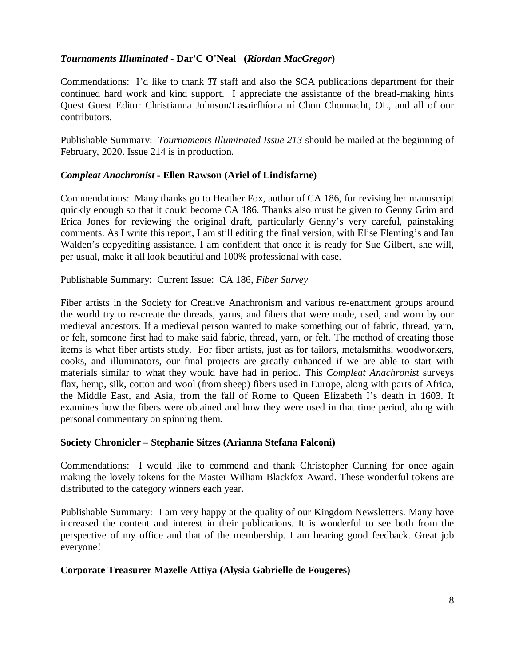# *Tournaments Illuminated* **- Dar'C O'Neal (***Riordan MacGregor*)

Commendations: I'd like to thank *TI* staff and also the SCA publications department for their continued hard work and kind support. I appreciate the assistance of the bread-making hints Quest Guest Editor Christianna Johnson/Lasairfhíona ní Chon Chonnacht, OL, and all of our contributors.

Publishable Summary: *Tournaments Illuminated Issue 213* should be mailed at the beginning of February, 2020. Issue 214 is in production.

# *Compleat Anachronist* **- Ellen Rawson (Ariel of Lindisfarne)**

Commendations: Many thanks go to Heather Fox, author of CA 186, for revising her manuscript quickly enough so that it could become CA 186. Thanks also must be given to Genny Grim and Erica Jones for reviewing the original draft, particularly Genny's very careful, painstaking comments. As I write this report, I am still editing the final version, with Elise Fleming's and Ian Walden's copyediting assistance. I am confident that once it is ready for Sue Gilbert, she will, per usual, make it all look beautiful and 100% professional with ease.

Publishable Summary: Current Issue:CA 186, *Fiber Survey*

Fiber artists in the Society for Creative Anachronism and various re-enactment groups around the world try to re-create the threads, yarns, and fibers that were made, used, and worn by our medieval ancestors. If a medieval person wanted to make something out of fabric, thread, yarn, or felt, someone first had to make said fabric, thread, yarn, or felt. The method of creating those items is what fiber artists study. For fiber artists, just as for tailors, metalsmiths, woodworkers, cooks, and illuminators, our final projects are greatly enhanced if we are able to start with materials similar to what they would have had in period. This *Compleat Anachronist* surveys flax, hemp, silk, cotton and wool (from sheep) fibers used in Europe, along with parts of Africa, the Middle East, and Asia, from the fall of Rome to Queen Elizabeth I's death in 1603. It examines how the fibers were obtained and how they were used in that time period, along with personal commentary on spinning them.

# **Society Chronicler – Stephanie Sitzes (Arianna Stefana Falconi)**

Commendations: I would like to commend and thank Christopher Cunning for once again making the lovely tokens for the Master William Blackfox Award. These wonderful tokens are distributed to the category winners each year.

Publishable Summary: I am very happy at the quality of our Kingdom Newsletters. Many have increased the content and interest in their publications. It is wonderful to see both from the perspective of my office and that of the membership. I am hearing good feedback. Great job everyone!

# **Corporate Treasurer Mazelle Attiya (Alysia Gabrielle de Fougeres)**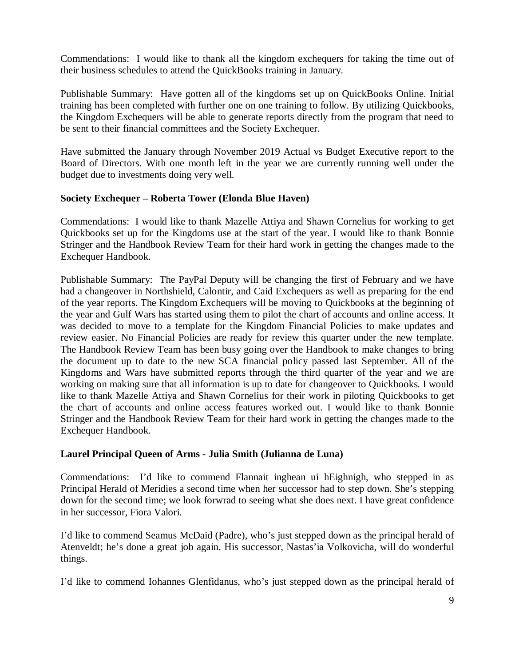Commendations: I would like to thank all the kingdom exchequers for taking the time out of their business schedules to attend the QuickBooks training in January.

Publishable Summary: Have gotten all of the kingdoms set up on QuickBooks Online. Initial training has been completed with further one on one training to follow. By utilizing Quickbooks, the Kingdom Exchequers will be able to generate reports directly from the program that need to be sent to their financial committees and the Society Exchequer.

Have submitted the January through November 2019 Actual vs Budget Executive report to the Board of Directors. With one month left in the year we are currently running well under the budget due to investments doing very well.

### **Society Exchequer – Roberta Tower (Elonda Blue Haven)**

Commendations: I would like to thank Mazelle Attiya and Shawn Cornelius for working to get Quickbooks set up for the Kingdoms use at the start of the year. I would like to thank Bonnie Stringer and the Handbook Review Team for their hard work in getting the changes made to the Exchequer Handbook.

Publishable Summary: The PayPal Deputy will be changing the first of February and we have had a changeover in Northshield, Calontir, and Caid Exchequers as well as preparing for the end of the year reports. The Kingdom Exchequers will be moving to Quickbooks at the beginning of the year and Gulf Wars has started using them to pilot the chart of accounts and online access. It was decided to move to a template for the Kingdom Financial Policies to make updates and review easier. No Financial Policies are ready for review this quarter under the new template. The Handbook Review Team has been busy going over the Handbook to make changes to bring the document up to date to the new SCA financial policy passed last September. All of the Kingdoms and Wars have submitted reports through the third quarter of the year and we are working on making sure that all information is up to date for changeover to Quickbooks. I would like to thank Mazelle Attiya and Shawn Cornelius for their work in piloting Quickbooks to get the chart of accounts and online access features worked out. I would like to thank Bonnie Stringer and the Handbook Review Team for their hard work in getting the changes made to the Exchequer Handbook.

# **Laurel Principal Queen of Arms - Julia Smith (Julianna de Luna)**

Commendations: I'd like to commend Flannait inghean ui hEighnigh, who stepped in as Principal Herald of Meridies a second time when her successor had to step down. She's stepping down for the second time; we look forwrad to seeing what she does next. I have great confidence in her successor, Fiora Valori.

I'd like to commend Seamus McDaid (Padre), who's just stepped down as the principal herald of Atenveldt; he's done a great job again. His successor, Nastas'ia Volkovicha, will do wonderful things.

I'd like to commend Iohannes Glenfidanus, who's just stepped down as the principal herald of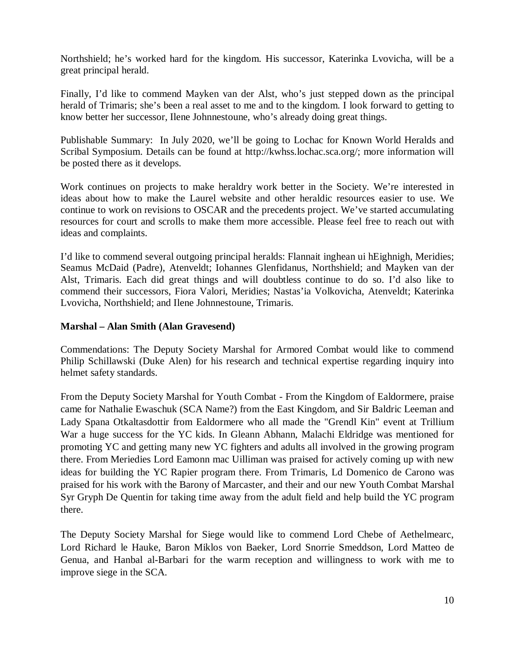Northshield; he's worked hard for the kingdom. His successor, Katerinka Lvovicha, will be a great principal herald.

Finally, I'd like to commend Mayken van der Alst, who's just stepped down as the principal herald of Trimaris; she's been a real asset to me and to the kingdom. I look forward to getting to know better her successor, Ilene Johnnestoune, who's already doing great things.

Publishable Summary: In July 2020, we'll be going to Lochac for Known World Heralds and Scribal Symposium. Details can be found at http://kwhss.lochac.sca.org/; more information will be posted there as it develops.

Work continues on projects to make heraldry work better in the Society. We're interested in ideas about how to make the Laurel website and other heraldic resources easier to use. We continue to work on revisions to OSCAR and the precedents project. We've started accumulating resources for court and scrolls to make them more accessible. Please feel free to reach out with ideas and complaints.

I'd like to commend several outgoing principal heralds: Flannait inghean ui hEighnigh, Meridies; Seamus McDaid (Padre), Atenveldt; Iohannes Glenfidanus, Northshield; and Mayken van der Alst, Trimaris. Each did great things and will doubtless continue to do so. I'd also like to commend their successors, Fiora Valori, Meridies; Nastas'ia Volkovicha, Atenveldt; Katerinka Lvovicha, Northshield; and Ilene Johnnestoune, Trimaris.

### **Marshal – Alan Smith (Alan Gravesend)**

Commendations: The Deputy Society Marshal for Armored Combat would like to commend Philip Schillawski (Duke Alen) for his research and technical expertise regarding inquiry into helmet safety standards.

From the Deputy Society Marshal for Youth Combat - From the Kingdom of Ealdormere, praise came for Nathalie Ewaschuk (SCA Name?) from the East Kingdom, and Sir Baldric Leeman and Lady Spana Otkaltasdottir from Ealdormere who all made the "Grendl Kin" event at Trillium War a huge success for the YC kids. In Gleann Abhann, Malachi Eldridge was mentioned for promoting YC and getting many new YC fighters and adults all involved in the growing program there. From Meriedies Lord Eamonn mac Uilliman was praised for actively coming up with new ideas for building the YC Rapier program there. From Trimaris, Ld Domenico de Carono was praised for his work with the Barony of Marcaster, and their and our new Youth Combat Marshal Syr Gryph De Quentin for taking time away from the adult field and help build the YC program there.

The Deputy Society Marshal for Siege would like to commend Lord Chebe of Aethelmearc, Lord Richard le Hauke, Baron Miklos von Baeker, Lord Snorrie Smeddson, Lord Matteo de Genua, and Hanbal al-Barbari for the warm reception and willingness to work with me to improve siege in the SCA.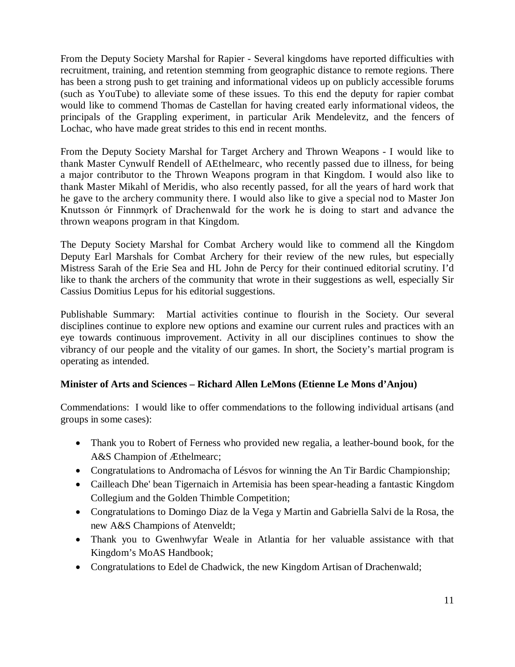From the Deputy Society Marshal for Rapier - Several kingdoms have reported difficulties with recruitment, training, and retention stemming from geographic distance to remote regions. There has been a strong push to get training and informational videos up on publicly accessible forums (such as YouTube) to alleviate some of these issues. To this end the deputy for rapier combat would like to commend Thomas de Castellan for having created early informational videos, the principals of the Grappling experiment, in particular Arik Mendelevitz, and the fencers of Lochac, who have made great strides to this end in recent months.

From the Deputy Society Marshal for Target Archery and Thrown Weapons - I would like to thank Master Cynwulf Rendell of AEthelmearc, who recently passed due to illness, for being a major contributor to the Thrown Weapons program in that Kingdom. I would also like to thank Master Mikahl of Meridis, who also recently passed, for all the years of hard work that he gave to the archery community there. I would also like to give a special nod to Master Jon Knutsson ór Finnmork of Drachenwald for the work he is doing to start and advance the thrown weapons program in that Kingdom.

The Deputy Society Marshal for Combat Archery would like to commend all the Kingdom Deputy Earl Marshals for Combat Archery for their review of the new rules, but especially Mistress Sarah of the Erie Sea and HL John de Percy for their continued editorial scrutiny. I'd like to thank the archers of the community that wrote in their suggestions as well, especially Sir Cassius Domitius Lepus for his editorial suggestions.

Publishable Summary: Martial activities continue to flourish in the Society. Our several disciplines continue to explore new options and examine our current rules and practices with an eye towards continuous improvement. Activity in all our disciplines continues to show the vibrancy of our people and the vitality of our games. In short, the Society's martial program is operating as intended.

# **Minister of Arts and Sciences – Richard Allen LeMons (Etienne Le Mons d'Anjou)**

Commendations: I would like to offer commendations to the following individual artisans (and groups in some cases):

- Thank you to Robert of Ferness who provided new regalia, a leather-bound book, for the A&S Champion of Æthelmearc;
- Congratulations to Andromacha of Lésvos for winning the An Tir Bardic Championship;
- Cailleach Dhe' bean Tigernaich in Artemisia has been spear-heading a fantastic Kingdom Collegium and the Golden Thimble Competition;
- Congratulations to Domingo Diaz de la Vega y Martin and Gabriella Salvi de la Rosa, the new A&S Champions of Atenveldt;
- Thank you to Gwenhwyfar Weale in Atlantia for her valuable assistance with that Kingdom's MoAS Handbook;
- Congratulations to Edel de Chadwick, the new Kingdom Artisan of Drachenwald;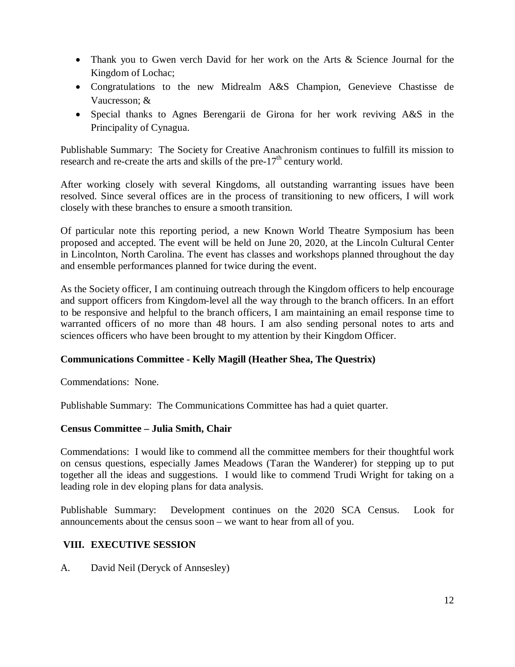- Thank you to Gwen verch David for her work on the Arts & Science Journal for the Kingdom of Lochac;
- Congratulations to the new Midrealm A&S Champion, Genevieve Chastisse de Vaucresson; &
- Special thanks to Agnes Berengarii de Girona for her work reviving A&S in the Principality of Cynagua.

Publishable Summary: The Society for Creative Anachronism continues to fulfill its mission to research and re-create the arts and skills of the pre- $17<sup>th</sup>$  century world.

After working closely with several Kingdoms, all outstanding warranting issues have been resolved. Since several offices are in the process of transitioning to new officers, I will work closely with these branches to ensure a smooth transition.

Of particular note this reporting period, a new Known World Theatre Symposium has been proposed and accepted. The event will be held on June 20, 2020, at the Lincoln Cultural Center in Lincolnton, North Carolina. The event has classes and workshops planned throughout the day and ensemble performances planned for twice during the event.

As the Society officer, I am continuing outreach through the Kingdom officers to help encourage and support officers from Kingdom-level all the way through to the branch officers. In an effort to be responsive and helpful to the branch officers, I am maintaining an email response time to warranted officers of no more than 48 hours. I am also sending personal notes to arts and sciences officers who have been brought to my attention by their Kingdom Officer.

# **Communications Committee - Kelly Magill (Heather Shea, The Questrix)**

Commendations: None.

Publishable Summary: The Communications Committee has had a quiet quarter.

# **Census Committee – Julia Smith, Chair**

Commendations: I would like to commend all the committee members for their thoughtful work on census questions, especially James Meadows (Taran the Wanderer) for stepping up to put together all the ideas and suggestions. I would like to commend Trudi Wright for taking on a leading role in dev eloping plans for data analysis.

Publishable Summary: Development continues on the 2020 SCA Census. Look for announcements about the census soon – we want to hear from all of you.

# **VIII. EXECUTIVE SESSION**

A. David Neil (Deryck of Annsesley)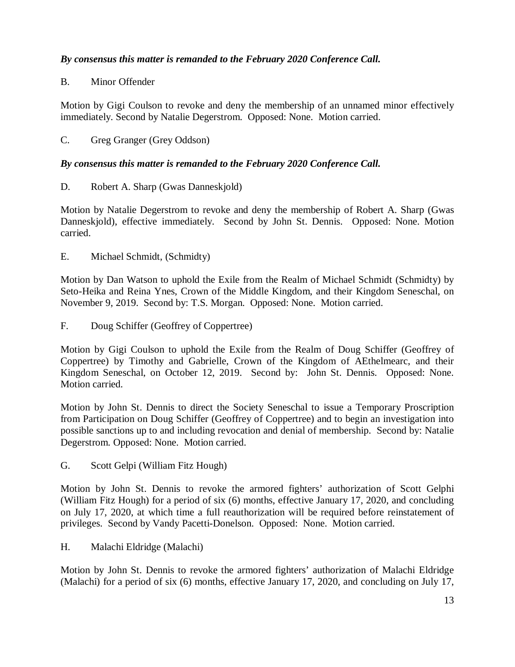# *By consensus this matter is remanded to the February 2020 Conference Call.*

# B. Minor Offender

Motion by Gigi Coulson to revoke and deny the membership of an unnamed minor effectively immediately. Second by Natalie Degerstrom. Opposed: None. Motion carried.

# C. Greg Granger (Grey Oddson)

# *By consensus this matter is remanded to the February 2020 Conference Call.*

D. Robert A. Sharp (Gwas Danneskjold)

Motion by Natalie Degerstrom to revoke and deny the membership of Robert A. Sharp (Gwas Danneskjold), effective immediately. Second by John St. Dennis. Opposed: None. Motion carried.

E. Michael Schmidt, (Schmidty)

Motion by Dan Watson to uphold the Exile from the Realm of Michael Schmidt (Schmidty) by Seto-Heika and Reina Ynes, Crown of the Middle Kingdom, and their Kingdom Seneschal, on November 9, 2019. Second by: T.S. Morgan. Opposed: None. Motion carried.

F. Doug Schiffer (Geoffrey of Coppertree)

Motion by Gigi Coulson to uphold the Exile from the Realm of Doug Schiffer (Geoffrey of Coppertree) by Timothy and Gabrielle, Crown of the Kingdom of AEthelmearc, and their Kingdom Seneschal, on October 12, 2019. Second by: John St. Dennis. Opposed: None. Motion carried.

Motion by John St. Dennis to direct the Society Seneschal to issue a Temporary Proscription from Participation on Doug Schiffer (Geoffrey of Coppertree) and to begin an investigation into possible sanctions up to and including revocation and denial of membership. Second by: Natalie Degerstrom. Opposed: None. Motion carried.

G. Scott Gelpi (William Fitz Hough)

Motion by John St. Dennis to revoke the armored fighters' authorization of Scott Gelphi (William Fitz Hough) for a period of six (6) months, effective January 17, 2020, and concluding on July 17, 2020, at which time a full reauthorization will be required before reinstatement of privileges. Second by Vandy Pacetti-Donelson. Opposed: None. Motion carried.

H. Malachi Eldridge (Malachi)

Motion by John St. Dennis to revoke the armored fighters' authorization of Malachi Eldridge (Malachi) for a period of six (6) months, effective January 17, 2020, and concluding on July 17,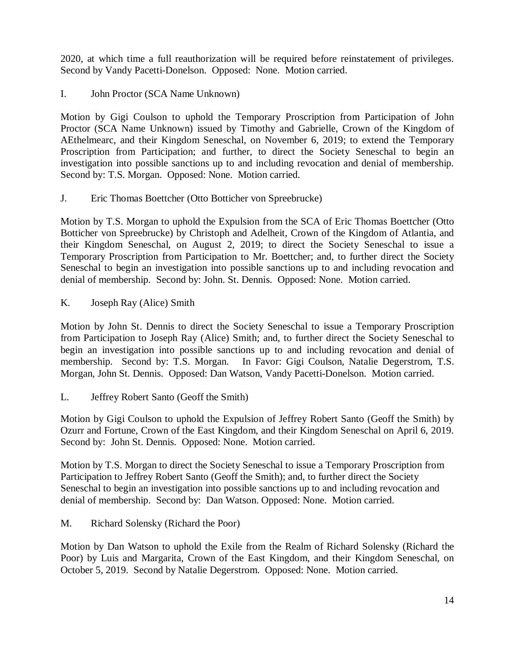2020, at which time a full reauthorization will be required before reinstatement of privileges. Second by Vandy Pacetti-Donelson. Opposed: None. Motion carried.

I. John Proctor (SCA Name Unknown)

Motion by Gigi Coulson to uphold the Temporary Proscription from Participation of John Proctor (SCA Name Unknown) issued by Timothy and Gabrielle, Crown of the Kingdom of AEthelmearc, and their Kingdom Seneschal, on November 6, 2019; to extend the Temporary Proscription from Participation; and further, to direct the Society Seneschal to begin an investigation into possible sanctions up to and including revocation and denial of membership. Second by: T.S. Morgan. Opposed: None. Motion carried.

J. Eric Thomas Boettcher (Otto Botticher von Spreebrucke)

Motion by T.S. Morgan to uphold the Expulsion from the SCA of Eric Thomas Boettcher (Otto Botticher von Spreebrucke) by Christoph and Adelheit, Crown of the Kingdom of Atlantia, and their Kingdom Seneschal, on August 2, 2019; to direct the Society Seneschal to issue a Temporary Proscription from Participation to Mr. Boettcher; and, to further direct the Society Seneschal to begin an investigation into possible sanctions up to and including revocation and denial of membership. Second by: John. St. Dennis. Opposed: None. Motion carried.

K. Joseph Ray (Alice) Smith

Motion by John St. Dennis to direct the Society Seneschal to issue a Temporary Proscription from Participation to Joseph Ray (Alice) Smith; and, to further direct the Society Seneschal to begin an investigation into possible sanctions up to and including revocation and denial of membership. Second by: T.S. Morgan. In Favor: Gigi Coulson, Natalie Degerstrom, T.S. In Favor: Gigi Coulson, Natalie Degerstrom, T.S. Morgan, John St. Dennis. Opposed: Dan Watson, Vandy Pacetti-Donelson. Motion carried.

L. Jeffrey Robert Santo (Geoff the Smith)

Motion by Gigi Coulson to uphold the Expulsion of Jeffrey Robert Santo (Geoff the Smith) by Ozurr and Fortune, Crown of the East Kingdom, and their Kingdom Seneschal on April 6, 2019. Second by: John St. Dennis. Opposed: None. Motion carried.

Motion by T.S. Morgan to direct the Society Seneschal to issue a Temporary Proscription from Participation to Jeffrey Robert Santo (Geoff the Smith); and, to further direct the Society Seneschal to begin an investigation into possible sanctions up to and including revocation and denial of membership. Second by: Dan Watson. Opposed: None. Motion carried.

M. Richard Solensky (Richard the Poor)

Motion by Dan Watson to uphold the Exile from the Realm of Richard Solensky (Richard the Poor) by Luis and Margarita, Crown of the East Kingdom, and their Kingdom Seneschal, on October 5, 2019. Second by Natalie Degerstrom. Opposed: None. Motion carried.